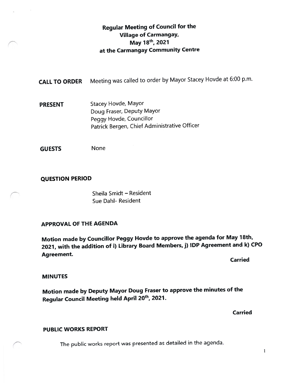# Regular Meeting of Council for the Village of Carmangay, May 18th, 2021 at the Carmangay Community Centre

CALL TO ORDER Meeting was called to order by Mayor Stacey Hovde at 6:00 p.m.

**PRESENT** Stacey Hovde, Mayor Doug Fraser, Deputy Mayor Peggy Hovde, Councillor Patrick Bergen, Chief Administrative Officer

GUESTS None

## QUESTION PERIOD

Sheila Smidt — Resident Sue Dahi- Resident

#### APPROVAL OF THE AGENDA

Motion made by Councillor Peggy Hovde to approve the agenda for May 18th, 2021, with the addition of i) Library Board Members, j) IDP Agreement and k) CPO Agreement.

Carried

#### MINUTES

Motion made by Deputy Mayor Doug Fraser to approve the minutes of the Regular Council Meeting held April 20th, 2021.

**Carried** 

## PUBLIC WORKS REPORT

The public works repor<sup>t</sup> was presented as detailed in the agenda.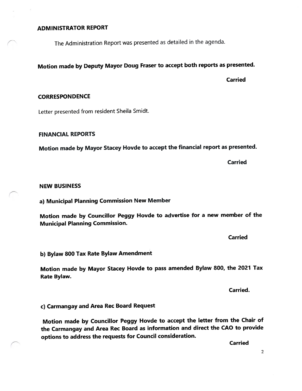### ADMINISTRATOR REPORT

The Administration Report was presented as detailed in the agenda.

# Motion made by Deputy Mayor Doug Fraser to accep<sup>t</sup> both reports as presented.

Carried

#### **CORRESPONDENCE**

Letter presented from resident Sheila Smidt.

#### FINANCIAL REPORTS

Motion made by Mayor Stacey Hovde to accep<sup>t</sup> the financial repor<sup>t</sup> as presented.

Carried

NEW BUSINESS

a) Municipal Planning Commission New Member

Motion made by Councillor Peggy Hovde to advertise for <sup>a</sup> new member of the Municipal Planning Commission.

Carried

b) Bylaw \$00 Tax Rate Bylaw Amendment

Motion made by Mayor Stacey Hovde to pass amended Bylaw 200, the <sup>2021</sup> Tax Rate Bylaw.

Carried.

c) Carmangay and Area Rec Board Request

Motion made by Councillor Peggy Hovde to accep<sup>t</sup> the letter from the Chair of the Carmangay and Area Rec Board as information and direct the CAO to provide options to address the requests for Council consideration.

Carried

2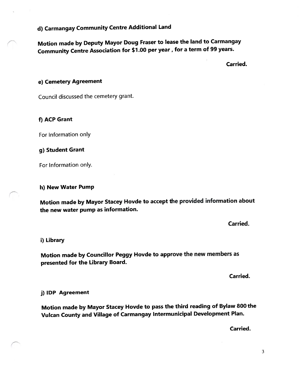d) Carmangay Community Centre Additional Land

Motion made by Deputy Mayor Doug Fraser to lease the land to Carmangay Community Centre Association for \$1.00 per year, for <sup>a</sup> term of <sup>99</sup> years.

Carried.

## e) Cemetery Agreement

Council discussed the cemetery grant.

#### f) ACP Grant

For Information only

#### g) Student Grant

For Information only.

#### h) New Water Pump

Motion made by Mayor Stacey Hovde to accep<sup>t</sup> the provided information about the new water pump as information.

Carried.

#### i) Library

Motion made by Councillor Peggy Hovde to approve the new members as presented for the Library Board.

Carried.

#### j) IDP Agreement

Motion made by Mayor Stacey Hovde to pass the third reading of Bylaw <sup>800</sup> the Vulcan County and Village of Carmangay Intermunicipal Development Plan.

Carried.

3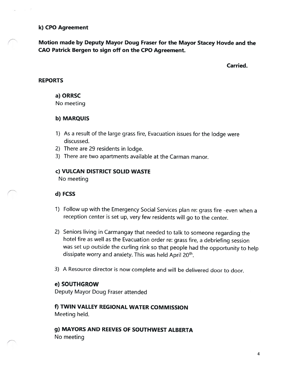#### k) CPO Agreement

Motion made by Deputy Mayor Doug Fraser for the Mayor Stacey Hovde and the CAO Patrick Bergen to sign off on the CPO Agreement.

Carried.

### REPORTS

### a) ORRSC

No meeting

## b) MARQUIS

- 1) As <sup>a</sup> result of the large grass fire, Evacuation issues for the lodge were discussed.
- 2) There are 29 residents in lodge.
- 3) There are two apartments available at the Carman manor.

# c) VULCAN DISTRICT SOLID WASTE

No meeting

## d) FCSS

- 1) Follow up with the Emergency Social Services <sup>p</sup>lan re: grass fire -even when <sup>a</sup> reception center is set up, very few residents will go to the center.
- 2) Seniors living in Carmangay that needed to talk to someone regarding the hotel fire as well as the Evacuation order re: grass fire, <sup>a</sup> debriefing session was set up outside the curling rink so that people had the opportunity to help dissipate worry and anxiety. This was held April 20<sup>th</sup>.
- 3) <sup>A</sup> Resource director is now complete and will be delivered door to door.

## e) SOUTHGROW

Deputy Mayor Doug Fraser attended

## f) TWIN VALLEY REGIONAL WATER COMMISSION Meeting held.

g) MAYORS AND REEVES OF SOUTHWEST ALBERTA No meeting